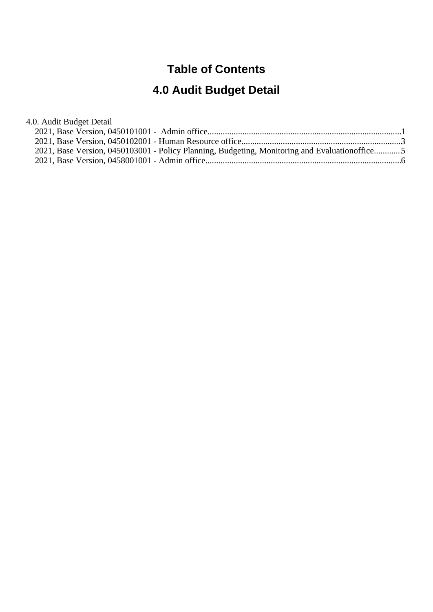### **Table of Contents**

# **4.0 Audit Budget Detail**

#### 4.0. Audit Budget Detail

| 2021, Base Version, 0450103001 - Policy Planning, Budgeting, Monitoring and Evaluation office5 |  |
|------------------------------------------------------------------------------------------------|--|
|                                                                                                |  |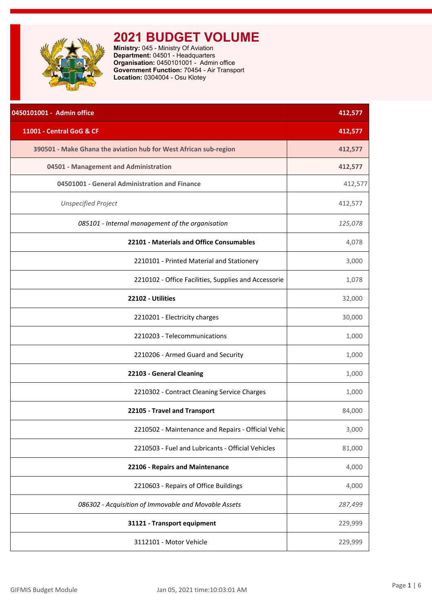<span id="page-1-0"></span>

**Ministry:** 045 - Ministry Of Aviation **Department:** 04501 - Headquarters **Organisation:** 0450101001 - Admin office **Government Function:** 70454 - Air Transport **Location:** 0304004 - Osu Klotey

| 0450101001 - Admin office                                        | 412,577 |
|------------------------------------------------------------------|---------|
| 11001 - Central GoG & CF                                         | 412,577 |
| 390501 - Make Ghana the aviation hub for West African sub-region | 412,577 |
| 04501 - Management and Administration                            | 412,577 |
| 04501001 - General Administration and Finance                    | 412,577 |
| <b>Unspecified Project</b>                                       | 412,577 |
| 085101 - Internal management of the organisation                 | 125,078 |
| 22101 - Materials and Office Consumables                         | 4,078   |
| 2210101 - Printed Material and Stationery                        | 3,000   |
| 2210102 - Office Facilities, Supplies and Accessorie             | 1,078   |
| 22102 - Utilities                                                | 32,000  |
| 2210201 - Electricity charges                                    | 30,000  |
| 2210203 - Telecommunications                                     | 1,000   |
| 2210206 - Armed Guard and Security                               | 1,000   |
| 22103 - General Cleaning                                         | 1,000   |
| 2210302 - Contract Cleaning Service Charges                      | 1,000   |
| 22105 - Travel and Transport                                     | 84,000  |
| 2210502 - Maintenance and Repairs - Official Vehic               | 3,000   |
| 2210503 - Fuel and Lubricants - Official Vehicles                | 81,000  |
| 22106 - Repairs and Maintenance                                  | 4,000   |
| 2210603 - Repairs of Office Buildings                            | 4,000   |
| 086302 - Acquisition of Immovable and Movable Assets             | 287,499 |
| 31121 - Transport equipment                                      | 229,999 |
| 3112101 - Motor Vehicle                                          | 229,999 |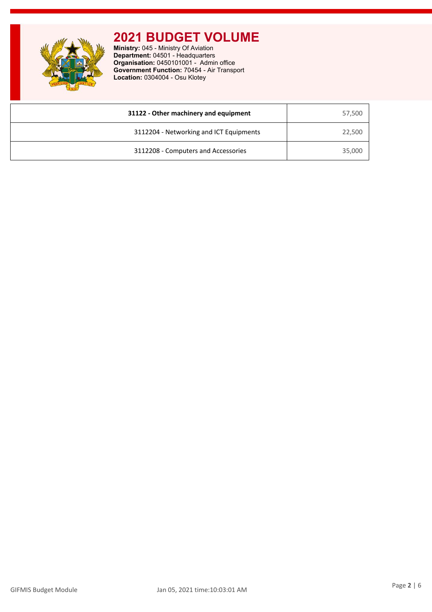**Ministry:** 045 - Ministry Of Aviation **Department:** 04501 - Headquarters **Organisation:** 0450101001 - Admin office **Government Function:** 70454 - Air Transport **Location:** 0304004 - Osu Klotey

| 31122 - Other machinery and equipment   | 57,500 |
|-----------------------------------------|--------|
| 3112204 - Networking and ICT Equipments | 22,500 |
| 3112208 - Computers and Accessories     | 35,000 |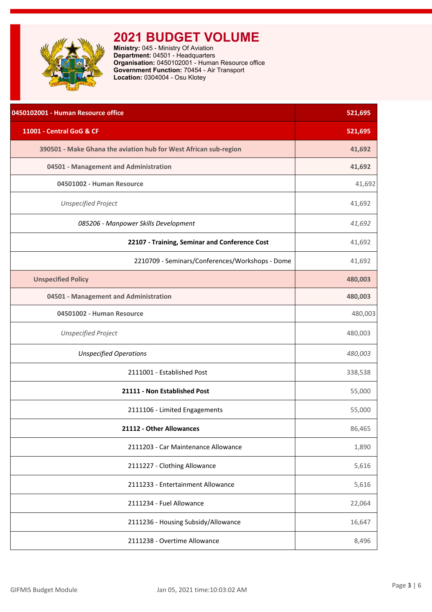<span id="page-3-0"></span>

**Ministry:** 045 - Ministry Of Aviation **Department:** 04501 - Headquarters **Organisation:** 0450102001 - Human Resource office **Government Function:** 70454 - Air Transport **Location:** 0304004 - Osu Klotey

| 0450102001 - Human Resource office                               | 521,695 |
|------------------------------------------------------------------|---------|
| 11001 - Central GoG & CF                                         | 521,695 |
| 390501 - Make Ghana the aviation hub for West African sub-region | 41,692  |
| 04501 - Management and Administration                            | 41,692  |
| 04501002 - Human Resource                                        | 41,692  |
| <b>Unspecified Project</b>                                       | 41,692  |
| 085206 - Manpower Skills Development                             | 41,692  |
| 22107 - Training, Seminar and Conference Cost                    | 41,692  |
| 2210709 - Seminars/Conferences/Workshops - Dome                  | 41,692  |
| <b>Unspecified Policy</b>                                        | 480,003 |
| 04501 - Management and Administration                            | 480,003 |
| 04501002 - Human Resource                                        | 480,003 |
| <b>Unspecified Project</b>                                       | 480,003 |
| <b>Unspecified Operations</b>                                    | 480,003 |
| 2111001 - Established Post                                       | 338,538 |
| 21111 - Non Established Post                                     | 55,000  |
| 2111106 - Limited Engagements                                    | 55,000  |
| 21112 - Other Allowances                                         | 86,465  |
| 2111203 - Car Maintenance Allowance                              | 1,890   |
| 2111227 - Clothing Allowance                                     | 5,616   |
| 2111233 - Entertainment Allowance                                | 5,616   |
| 2111234 - Fuel Allowance                                         | 22,064  |
| 2111236 - Housing Subsidy/Allowance                              | 16,647  |
| 2111238 - Overtime Allowance                                     | 8,496   |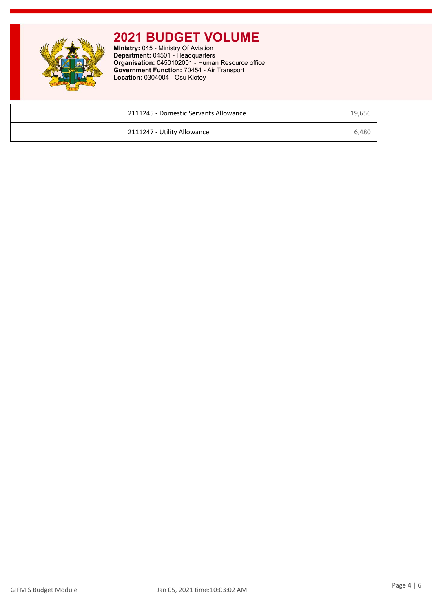**Ministry:** 045 - Ministry Of Aviation **Department:** 04501 - Headquarters **Organisation:** 0450102001 - Human Resource office **Government Function:** 70454 - Air Transport **Location:** 0304004 - Osu Klotey

| 2111245 - Domestic Servants Allowance | 19,656 |
|---------------------------------------|--------|
| 2111247 - Utility Allowance           | 6,480  |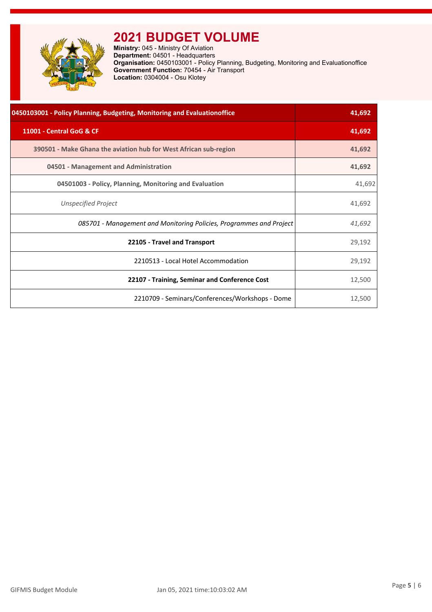<span id="page-5-0"></span>

**Ministry:** 045 - Ministry Of Aviation **Department:** 04501 - Headquarters **Organisation:** 0450103001 - Policy Planning, Budgeting, Monitoring and Evaluationoffice **Government Function:** 70454 - Air Transport **Location:** 0304004 - Osu Klotey

| 0450103001 - Policy Planning, Budgeting, Monitoring and Evaluationoffice | 41,692 |
|--------------------------------------------------------------------------|--------|
| 11001 - Central GoG & CF                                                 | 41,692 |
| 390501 - Make Ghana the aviation hub for West African sub-region         | 41,692 |
| 04501 - Management and Administration                                    | 41,692 |
| 04501003 - Policy, Planning, Monitoring and Evaluation                   | 41,692 |
| Unspecified Project                                                      | 41,692 |
| 085701 - Management and Monitoring Policies, Programmes and Project      | 41,692 |
| 22105 - Travel and Transport                                             | 29,192 |
| 2210513 - Local Hotel Accommodation                                      | 29,192 |
| 22107 - Training, Seminar and Conference Cost                            | 12,500 |
| 2210709 - Seminars/Conferences/Workshops - Dome                          | 12,500 |